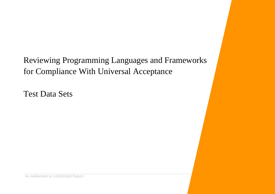Reviewing Programming Languages and Frameworks for Compliance With Universal Acceptance

Test Data Sets

An Addendum to UASG018A Report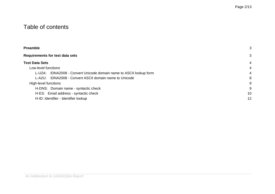# Table of contents

| <b>Preamble</b>                                                       | 3  |
|-----------------------------------------------------------------------|----|
| <b>Requirements for test data sets</b>                                | 3  |
| Test Data Sets                                                        | 4  |
| Low-level functions                                                   | 4  |
| IDNA2008 - Convert Unicode domain name to ASCII lookup form<br>L-U2A: | 4  |
| L-A2U: IDNA2008 - Convert ASCII domain name to Unicode                | 8  |
| High-level functions                                                  | 9  |
| H-DNS: Domain name - syntactic check                                  | 9  |
| H-ES: Email address - syntactic check                                 | 10 |
| H-ID: Identifier - Identifier lookup                                  | 12 |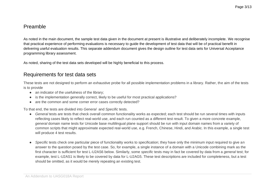### <span id="page-2-0"></span>Preamble

As noted in the main document, the sample test data given in the document at present is illustrative and deliberately incomplete. We recognise that practical experience of performing evaluations is necessary to guide the development of test data that will be of practical benefit in delivering useful evaluation results. This separate addendum document gives the design outline for test data sets for Universal Acceptance programming library assessment.

<span id="page-2-1"></span>As noted, sharing of the test data sets developed will be highly beneficial to this process.

## Requirements for test data sets

These tests are not designed to perform an exhaustive probe for all possible implementation problems in a library. Rather, the aim of the tests is to provide

- an indicator of the usefulness of the library;
- is the implementation generally correct, likely to be useful for most practical applications?
- are the common and some corner error cases correctly detected?

To that end, the tests are divided into *General* and *Specific* tests.

- *General* tests are tests that check overall common functionality works as expected; each test should be run several times with inputs reflecting cases likely to reflect real-world use, and each run counted as a different test result. To given a more concrete example, *general* domain name tests for Unicode base multilingual plane support should be run with input domain names from a variety of common scripts that might approximate expected real-world use, e.g. French, Chinese, Hindi, and Arabic. In this example, a single test will produce 4 test results.
- *Specific* tests check one particular piece of functionality works to specification; they have only the minimum input required to give an answer to the question posed by the test case. So, for example, a single instance of a domain with a Unicode combining mark as the first character is sufficient for test L-U2AS6 below. Similarly, some *specific* tests may in fact be covered by data from a *general* test; for example, test L-U2AS1 is likely to be covered by data for L-U2AG5. These test descriptions are included for completeness, but a test should be omitted, as it would be merely repeating an existing test.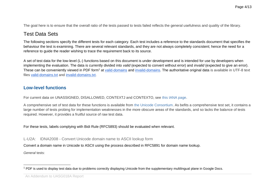The goal here is to ensure that the overall ratio of the tests passed to tests failed reflects the general usefulness and quality of the library.

# <span id="page-3-0"></span>Test Data Sets

The following sections specify the different tests for each category. Each test includes a reference to the standards document that specifies the behaviour the test is examining. There are several relevant standards, and they are not always completely consistent; hence the need for a reference to guide the reader wishing to trace the requirement back to its source.

A set of test data for the low-level (L-) functions based on this document is under development and is intended for use by developers when implementing the evaluation. The data is currently divided into *valid* (expected to convert without error) and *invalid* (expected to give an error). These can be conveniently viewed in PDF form<sup>1</sup> at [valid-domains](https://drive.google.com/open?id=0B25yu1KkIxYxZEg4Z1BYVFVYVlE) and [invalid-domains.](https://drive.google.com/open?id=0B25yu1KkIxYxM2pzUHZoQkxiNzg) The authoritative original data is available in UTF-8 text files [valid-domains.txt](https://drive.google.com/open?id=0B25yu1KkIxYxR1E4bnVJV19KczA) and [invalid-domains.txt.](https://drive.google.com/open?id=0B25yu1KkIxYxZHVLNjJSM3dnajg)

### <span id="page-3-1"></span>**Low-level functions**

For current data on UNASSIGNED, DISALLOWED, CONTEXTJ and CONTEXTO, see [this IANA page.](https://www.iana.org/assignments/idna-tables-6.3.0/idna-tables-6.3.0.xhtml)

A comprehensive set of test data for these functions is available from [the Unicode Consortium.](http://www.unicode.org/Public/idna/) As befits a comprehensive test set, it contains a large number of tests probing for implementation weaknesses in the more obscure areas of the standards, and so lacks the balance of tests required. However, it provides a fruitful source of raw test data.

<span id="page-3-2"></span>For these tests, labels complying with Bidi Rule (RFC5893) should be evaluated when relevant.

L-U2A: IDNA2008 - Convert Unicode domain name to ASCII lookup form

Convert a domain name in Unicode to ASCII using the process described in RFC5891 for domain name lookup.

*General* tests:

An Addendum to UASG018A Report

<sup>&</sup>lt;sup>1</sup> PDF is used to display test data due to problems correctly displaying Unicode from the supplementary multilingual plane in Google Docs.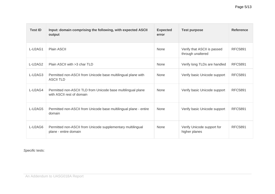| <b>Test ID</b> | Input: domain comprising the following, with expected ASCII<br>output                     | <b>Expected</b><br>error | <b>Test purpose</b>                              | <b>Reference</b> |
|----------------|-------------------------------------------------------------------------------------------|--------------------------|--------------------------------------------------|------------------|
| L-U2AG1        | <b>Plain ASCII</b>                                                                        | None                     | Verify that ASCII is passed<br>through unaltered | <b>RFC5891</b>   |
| L-U2AG2        | Plain ASCII with >3 char TLD                                                              | None                     | Verify long TLDs are handled                     | <b>RFC5891</b>   |
| L-U2AG3        | Permitted non-ASCII from Unicode base multilingual plane with<br><b>ASCII TLD</b>         | None                     | Verify basic Unicode support                     | <b>RFC5891</b>   |
| L-U2AG4        | Permitted non-ASCII TLD from Unicode base multilingual plane<br>with ASCII rest of domain | None                     | Verify basic Unicode support                     | <b>RFC5891</b>   |
| L-U2AG5        | Permitted non-ASCII from Unicode base multilingual plane - entire<br>domain               | None                     | Verify basic Unicode support                     | <b>RFC5891</b>   |
| L-U2AG6        | Permitted non-ASCII from Unicode supplementary multilingual<br>plane - entire domain      | None                     | Verify Unicode support for<br>higher planes      | <b>RFC5891</b>   |

*Specific* tests: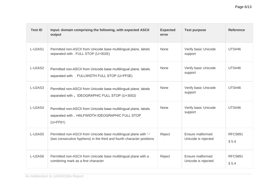| <b>Test ID</b> | Input: domain comprising the following, with expected ASCII<br>output                                                                      | <b>Expected</b><br>error | <b>Test purpose</b>                     | <b>Reference</b>        |
|----------------|--------------------------------------------------------------------------------------------------------------------------------------------|--------------------------|-----------------------------------------|-------------------------|
| L-U2AS1        | Permitted non-ASCII from Unicode base multilingual plane, labels<br>separated with . FULL STOP (U+002E)                                    | None                     | Verify basic Unicode<br>support         | <b>UTS#46</b>           |
| L-U2AS2        | Permitted non-ASCII from Unicode base multilingual plane, labels<br>separated with . FULLWIDTH FULL STOP (U+FF0E)                          | None                     | Verify basic Unicode<br>support         | <b>UTS#46</b>           |
| L-U2AS3        | Permitted non-ASCII from Unicode base multilingual plane, labels<br>separated with . IDEOGRAPHIC FULL STOP (U+3002)                        | None                     | Verify basic Unicode<br>support         | <b>UTS#46</b>           |
| L-U2AS4        | Permitted non-ASCII from Unicode base multilingual plane, labels<br>separated with . HALFWIDTH IDEOGRAPHIC FULL STOP<br>$(U+FF61)$         | None                     | Verify basic Unicode<br>support         | <b>UTS#46</b>           |
| L-U2AS5        | Permitted non-ASCII from Unicode base multilingual plane with '-'<br>(two consecutive hyphens) in the third and fourth character positions | Reject                   | Ensure malformed<br>Unicode is rejected | <b>RFC5891</b><br>§ 5.4 |
| L-U2AS6        | Permitted non-ASCII from Unicode base multilingual plane with a<br>combining mark as a first character                                     | Reject                   | Ensure malformed<br>Unicode is rejected | <b>RFC5891</b><br>§ 5.4 |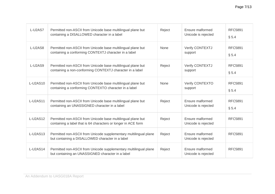| L-U2AS7         | Permitted non-ASCII from Unicode base multilingual plane but<br>containing a DISALLOWED character in a label                   | Reject      | Ensure malformed<br>Unicode is rejected | <b>RFC5891</b><br>§ 5.4 |
|-----------------|--------------------------------------------------------------------------------------------------------------------------------|-------------|-----------------------------------------|-------------------------|
| L-U2AS8         | Permitted non-ASCII from Unicode base multilingual plane but<br>containing a conforming CONTEXTJ character in a label          | None        | <b>Verify CONTEXTJ</b><br>support       | <b>RFC5891</b><br>§ 5.4 |
| L-U2AS9         | Permitted non-ASCII from Unicode base multilingual plane but<br>containing a non-conforming CONTEXTJ character in a label      | Reject      | <b>Verify CONTEXTJ</b><br>support       | <b>RFC5891</b><br>§ 5.4 |
| <b>L-U2AS10</b> | Permitted non-ASCII from Unicode base multilingual plane but<br>containing a conforming CONTEXTO character in a label          | <b>None</b> | <b>Verify CONTEXTO</b><br>support       | <b>RFC5891</b><br>§ 5.4 |
| <b>L-U2AS11</b> | Permitted non-ASCII from Unicode base multilingual plane but<br>containing an UNASSIGNED character in a label                  | Reject      | Ensure malformed<br>Unicode is rejected | <b>RFC5891</b><br>§ 5.4 |
| L-U2AS12        | Permitted non-ASCII from Unicode base multilingual plane but<br>containing a label that is 64 characters or longer in ACE form | Reject      | Ensure malformed<br>Unicode is rejected | <b>RFC5891</b>          |
| <b>L-U2AS13</b> | Permitted non-ASCII from Unicode supplementary multilingual plane<br>but containing a DISALLOWED character in a label          | Reject      | Ensure malformed<br>Unicode is rejected | <b>RFC5891</b>          |
| L-U2AS14        | Permitted non-ASCII from Unicode supplementary multilingual plane<br>but containing an UNASSIGNED character in a label         | Reject      | Ensure malformed<br>Unicode is rejected | <b>RFC5891</b>          |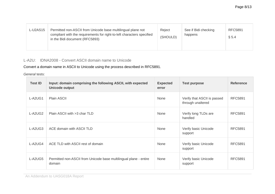| L-U2AS15 | Permitted non-ASCII from Unicode base multilingual plane not<br>compliant with the requirements for right-to-left characters specified<br>in the Bidi document (RFC5893) | Reject<br>(SHOULD) | See if Bidi checking<br>happens | <b>RFC5891</b><br>§ 5.4 |
|----------|--------------------------------------------------------------------------------------------------------------------------------------------------------------------------|--------------------|---------------------------------|-------------------------|
|----------|--------------------------------------------------------------------------------------------------------------------------------------------------------------------------|--------------------|---------------------------------|-------------------------|

### <span id="page-7-0"></span>L-A2U: IDNA2008 - Convert ASCII domain name to Unicode

Convert a domain name in ASCII to Unicode using the process described in RFC5891.

*General* tests:

| <b>Test ID</b> | Input: domain comprising the following ASCII, with expected<br>Unicode output | <b>Expected</b><br>error | <b>Test purpose</b>                              | <b>Reference</b> |
|----------------|-------------------------------------------------------------------------------|--------------------------|--------------------------------------------------|------------------|
| L-A2UG1        | Plain ASCII                                                                   | None                     | Verify that ASCII is passed<br>through unaltered | <b>RFC5891</b>   |
| L-A2UG2        | Plain ASCII with >3 char TLD                                                  | None                     | Verify long TLDs are<br>handled                  | <b>RFC5891</b>   |
| L-A2UG3        | ACE domain with ASCII TLD                                                     | None                     | Verify basic Unicode<br>support                  | <b>RFC5891</b>   |
| L-A2UG4        | ACE TLD with ASCII rest of domain                                             | None                     | Verify basic Unicode<br>support                  | <b>RFC5891</b>   |
| L-A2UG5        | Permitted non-ASCII from Unicode base multilingual plane - entire<br>domain   | None                     | Verify basic Unicode<br>support                  | <b>RFC5891</b>   |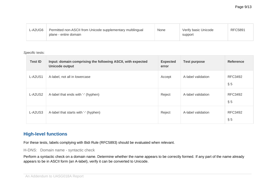| $L$ -A2UG6 | Permitted non-ASCII from Unicode supplementary multilingual<br>plane - entire domain | <b>None</b> | Verify basic Unicode<br>support | <b>RFC5891</b> |
|------------|--------------------------------------------------------------------------------------|-------------|---------------------------------|----------------|
|------------|--------------------------------------------------------------------------------------|-------------|---------------------------------|----------------|

*Specific* tests:

| <b>Test ID</b> | Input: domain comprising the following ASCII, with expected<br>Unicode output | <b>Expected</b><br>error | <b>Test purpose</b> | <b>Reference</b>         |
|----------------|-------------------------------------------------------------------------------|--------------------------|---------------------|--------------------------|
| L-A2US1        | A-label, not all in lowercase                                                 | Accept                   | A-label validation  | <b>RFC3492</b><br>$\S$ 5 |
| L-A2US2        | A-label that ends with '-' (hyphen)                                           | Reject                   | A-label validation  | <b>RFC3492</b><br>§ 5    |
| L-A2US3        | A-label that starts with '-' (hyphen)                                         | Reject                   | A-label validation  | <b>RFC3492</b><br>$\S$ 5 |

### <span id="page-8-0"></span>**High-level functions**

For these tests, labels complying with Bidi Rule (RFC5893) should be evaluated when relevant.

<span id="page-8-1"></span>H-DNS: Domain name - syntactic check

Perform a syntactic check on a domain name. Determine whether the name appears to be correctly formed. If any part of the name already appears to be in ASCII form (an A-label), verify it can be converted to Unicode.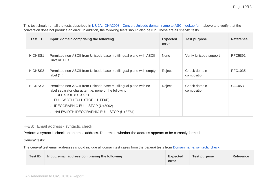This test should run all the tests described in L-U2A: IDNA2008 - Convert Unicode domain name to ASCII lookup form above and verify that the conversion does not produce an error. In addition, the following tests should also be run. These are all *specific* tests.

| <b>Test ID</b> | Input: domain comprising the following                                                                                                                                                                                                                           | <b>Expected</b><br>error | <b>Test purpose</b>         | <b>Reference</b> |
|----------------|------------------------------------------------------------------------------------------------------------------------------------------------------------------------------------------------------------------------------------------------------------------|--------------------------|-----------------------------|------------------|
| H-DNSS1        | Permitted non-ASCII from Unicode base multilingual plane with ASCII<br>'.invalid' TLD                                                                                                                                                                            | None                     | Verify Unicode support      | <b>RFC5891</b>   |
| H-DNSS2        | Permitted non-ASCII from Unicode base multilingual plane with empty<br>label $($ '.'.')                                                                                                                                                                          | Reject                   | Check domain<br>composition | <b>RFC1035</b>   |
| H-DNSS3        | Permitted non-ASCII from Unicode base multilingual plane with no<br>label separator character, i.e. none of the following:<br>FULL STOP (U+002E)<br>. FULLWIDTH FULL STOP (U+FF0E)<br>IDEOGRAPHIC FULL STOP (U+3002)<br>HALFWIDTH IDEOGRAPHIC FULL STOP (U+FF61) | Reject                   | Check domain<br>composition | <b>SAC053</b>    |

#### <span id="page-9-0"></span>H-ES: Email address - syntactic check

Perform a syntactic check on an email address. Determine whether the address appears to be correctly formed.

*General* tests:

The *general* test email addresses should include all domain test cases from the *general* tests from Domain name: syntactic check.

| <b>Test ID</b> | Input: email address comprising the following | <b>Expected</b><br>error | Test purpose | <b>Reference</b> |
|----------------|-----------------------------------------------|--------------------------|--------------|------------------|
|----------------|-----------------------------------------------|--------------------------|--------------|------------------|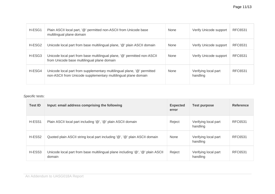| H-ESG1             | Plain ASCII local part, '@' permitted non-ASCII from Unicode base<br>multilingual plane domain                                            | None        | Verify Unicode support           | <b>RFC6531</b> |
|--------------------|-------------------------------------------------------------------------------------------------------------------------------------------|-------------|----------------------------------|----------------|
| H-ESG <sub>2</sub> | Unicode local part from base multilingual plane, '@' plain ASCII domain                                                                   | None        | Verify Unicode support           | <b>RFC6531</b> |
| H-ESG3             | Unicode local part from base multilingual plane, '@' permitted non-ASCII<br>from Unicode base multilingual plane domain                   | None        | Verify Unicode support           | <b>RFC6531</b> |
| H-ESG4             | Unicode local part from supplementary multilingual plane, '@' permitted<br>non-ASCII from Unicode supplementary multilingual plane domain | <b>None</b> | Verifying local part<br>handling | RFC6531        |

#### *Specific* tests:

| <b>Test ID</b> | Input: email address comprising the following                                            | <b>Expected</b><br>error | <b>Test purpose</b>              | <b>Reference</b> |
|----------------|------------------------------------------------------------------------------------------|--------------------------|----------------------------------|------------------|
| H-ESS1         | Plain ASCII local part including '@', '@' plain ASCII domain                             | Reject                   | Verifying local part<br>handling | <b>RFC6531</b>   |
| H-ESS2         | Quoted plain ASCII string local part including '@', '@' plain ASCII domain               | None                     | Verifying local part<br>handling | <b>RFC6531</b>   |
| H-ESS3         | Unicode local part from base multilingual plane including '@', '@' plain ASCII<br>domain | Reject                   | Verifying local part<br>handling | <b>RFC6531</b>   |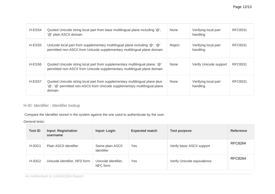| H-ESS4 | Quoted Unicode string local part from base multilingual plane including '@',<br>'@' plain ASCII domain                                                              | <b>None</b> | Verifying local part<br>handling | <b>RFC6531</b> |
|--------|---------------------------------------------------------------------------------------------------------------------------------------------------------------------|-------------|----------------------------------|----------------|
| H-ESS5 | Unicode local part from supplementary multilingual plane including '@', '@'<br>permitted non-ASCII from Unicode supplementary multilingual plane domain             | Reject      | Verifying local part<br>handling | RFC6531        |
| H-ESS6 | Quoted Unicode string local part from supplementary multilingual plane, '@'<br>permitted non-ASCII from Unicode supplementary multilingual plane domain             | <b>None</b> | Verify Unicode support           | RFC6531        |
| H-ESS7 | Quoted Unicode string local part from supplementary multilingual plane plus<br>'@', '@' permitted non-ASCII from Unicode supplementary multilingual plane<br>domain | <b>None</b> | Verifying local part<br>handling | RFC6531        |

### <span id="page-11-0"></span>H-ID: Identifier - Identifier lookup

Compare the identifier stored in the system against the one used to authenticate by the user.

*General* tests:

| <b>Test ID</b> | <b>Input: Registration</b><br>username | <b>Input: Login</b>             | <b>Expected match</b> | <b>Test purpose</b>        | <b>Reference</b> |
|----------------|----------------------------------------|---------------------------------|-----------------------|----------------------------|------------------|
| H-IDG1         | Plain ASCII identifier                 | Same plain ASCII<br>identifier  | Yes                   | Verify basic ASCII support | <b>RFC8264</b>   |
| H-IDG2         | Unicode identifier, NFD form           | Unicode identifier,<br>NFC form | Yes                   | Verify Unicode equivalence | <b>RFC8264</b>   |